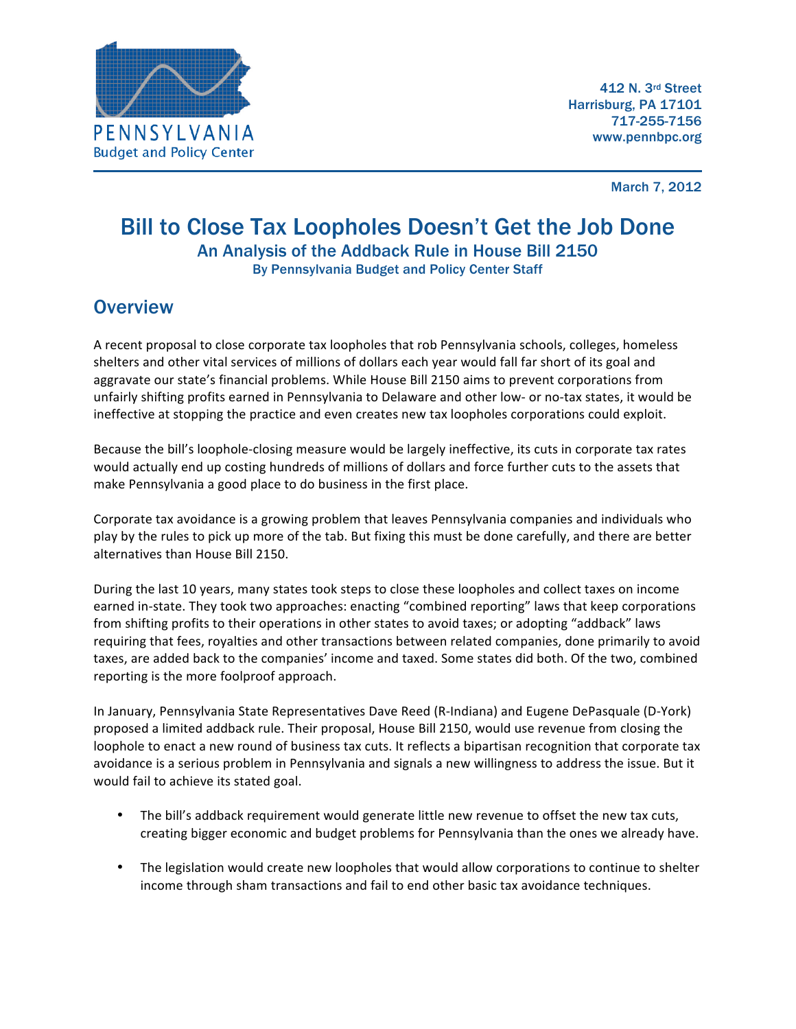

March 7, 2012

#### Bill to Close Tax Loopholes Doesn't Get the Job Done An Analysis of the Addback Rule in House Bill 2150 By Pennsylvania Budget and Policy Center Staff

#### **Overview**

A recent proposal to close corporate tax loopholes that rob Pennsylvania schools, colleges, homeless shelters and other vital services of millions of dollars each year would fall far short of its goal and aggravate our state's financial problems. While House Bill 2150 aims to prevent corporations from unfairly shifting profits earned in Pennsylvania to Delaware and other low- or no-tax states, it would be ineffective at stopping the practice and even creates new tax loopholes corporations could exploit.

Because the bill's loophole-closing measure would be largely ineffective, its cuts in corporate tax rates would actually end up costing hundreds of millions of dollars and force further cuts to the assets that make Pennsylvania a good place to do business in the first place.

Corporate tax avoidance is a growing problem that leaves Pennsylvania companies and individuals who play by the rules to pick up more of the tab. But fixing this must be done carefully, and there are better alternatives than House Bill 2150.

During the last 10 years, many states took steps to close these loopholes and collect taxes on income earned in-state. They took two approaches: enacting "combined reporting" laws that keep corporations from shifting profits to their operations in other states to avoid taxes; or adopting "addback" laws requiring that fees, royalties and other transactions between related companies, done primarily to avoid taxes, are added back to the companies' income and taxed. Some states did both. Of the two, combined reporting is the more foolproof approach.

In January, Pennsylvania State Representatives Dave Reed (R-Indiana) and Eugene DePasquale (D-York) proposed a limited addback rule. Their proposal, House Bill 2150, would use revenue from closing the loophole to enact a new round of business tax cuts. It reflects a bipartisan recognition that corporate tax avoidance is a serious problem in Pennsylvania and signals a new willingness to address the issue. But it would fail to achieve its stated goal.

- The bill's addback requirement would generate little new revenue to offset the new tax cuts, creating bigger economic and budget problems for Pennsylvania than the ones we already have.
- The legislation would create new loopholes that would allow corporations to continue to shelter income through sham transactions and fail to end other basic tax avoidance techniques.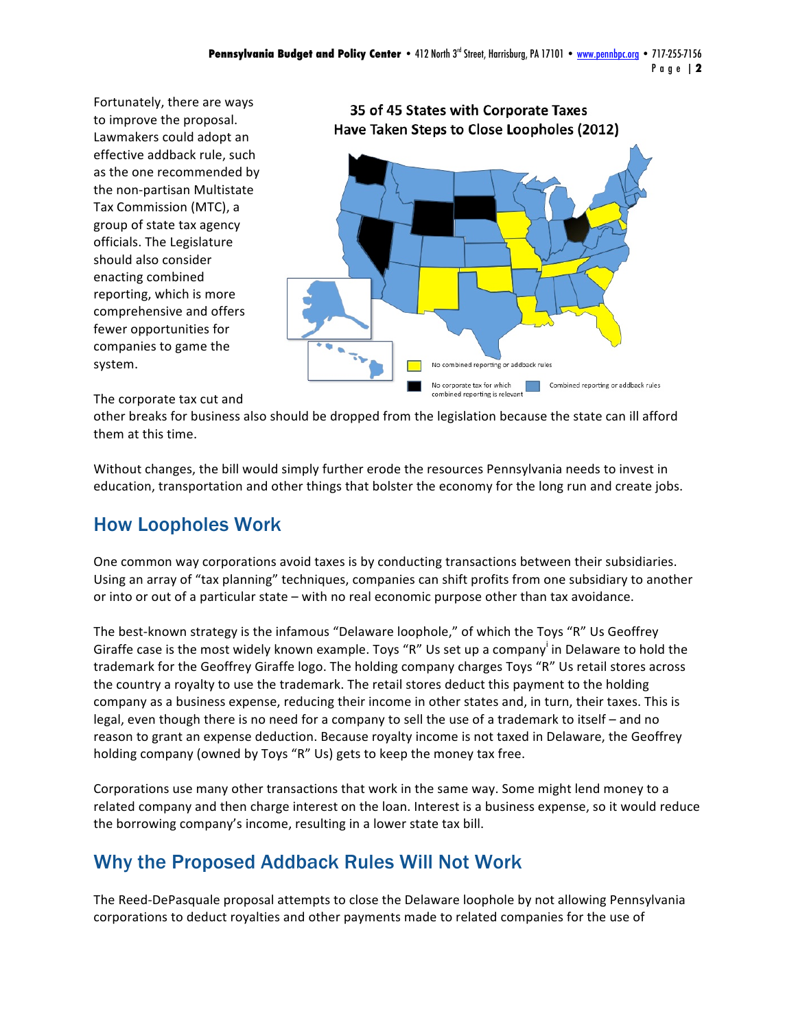Fortunately, there are ways to improve the proposal. Lawmakers could adopt an effective addback rule, such as the one recommended by the non-partisan Multistate Tax Commission (MTC), a group of state tax agency officials. The Legislature should also consider enacting combined reporting, which is more comprehensive and offers fewer opportunities for companies to game the system.



#### The corporate tax cut and

other breaks for business also should be dropped from the legislation because the state can ill afford them at this time.

Without changes, the bill would simply further erode the resources Pennsylvania needs to invest in education, transportation and other things that bolster the economy for the long run and create jobs.

## How Loopholes Work

One common way corporations avoid taxes is by conducting transactions between their subsidiaries. Using an array of "tax planning" techniques, companies can shift profits from one subsidiary to another or into or out of a particular state – with no real economic purpose other than tax avoidance.

The best-known strategy is the infamous "Delaware loophole," of which the Toys "R" Us Geoffrey Giraffe case is the most widely known example. Toys "R" Us set up a company<sup>i</sup> in Delaware to hold the trademark for the Geoffrey Giraffe logo. The holding company charges Toys "R" Us retail stores across the country a royalty to use the trademark. The retail stores deduct this payment to the holding company as a business expense, reducing their income in other states and, in turn, their taxes. This is legal, even though there is no need for a company to sell the use of a trademark to itself – and no reason to grant an expense deduction. Because royalty income is not taxed in Delaware, the Geoffrey holding company (owned by Toys "R" Us) gets to keep the money tax free.

Corporations use many other transactions that work in the same way. Some might lend money to a related company and then charge interest on the loan. Interest is a business expense, so it would reduce the borrowing company's income, resulting in a lower state tax bill.

## Why the Proposed Addback Rules Will Not Work

The Reed-DePasquale proposal attempts to close the Delaware loophole by not allowing Pennsylvania corporations to deduct royalties and other payments made to related companies for the use of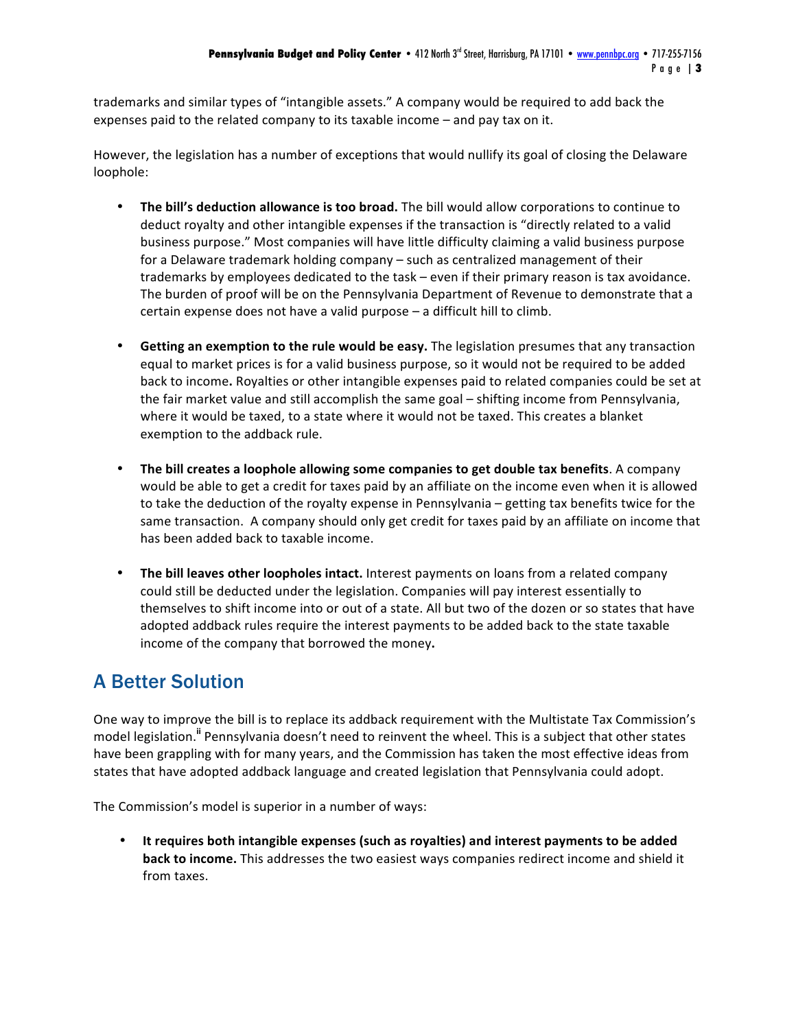trademarks and similar types of "intangible assets." A company would be required to add back the expenses paid to the related company to its taxable income  $-$  and pay tax on it.

However, the legislation has a number of exceptions that would nullify its goal of closing the Delaware loophole:

- The bill's deduction allowance is too broad. The bill would allow corporations to continue to deduct royalty and other intangible expenses if the transaction is "directly related to a valid business purpose." Most companies will have little difficulty claiming a valid business purpose for a Delaware trademark holding company – such as centralized management of their trademarks by employees dedicated to the task – even if their primary reason is tax avoidance. The burden of proof will be on the Pennsylvania Department of Revenue to demonstrate that a certain expense does not have a valid purpose  $-$  a difficult hill to climb.
- Getting an exemption to the rule would be easy. The legislation presumes that any transaction equal to market prices is for a valid business purpose, so it would not be required to be added back to income. Royalties or other intangible expenses paid to related companies could be set at the fair market value and still accomplish the same goal - shifting income from Pennsylvania, where it would be taxed, to a state where it would not be taxed. This creates a blanket exemption to the addback rule.
- **The bill creates a loophole allowing some companies to get double tax benefits**. A company would be able to get a credit for taxes paid by an affiliate on the income even when it is allowed to take the deduction of the royalty expense in Pennsylvania – getting tax benefits twice for the same transaction. A company should only get credit for taxes paid by an affiliate on income that has been added back to taxable income.
- **The bill leaves other loopholes intact.** Interest payments on loans from a related company could still be deducted under the legislation. Companies will pay interest essentially to themselves to shift income into or out of a state. All but two of the dozen or so states that have adopted addback rules require the interest payments to be added back to the state taxable income of the company that borrowed the money.

# A Better Solution

One way to improve the bill is to replace its addback requirement with the Multistate Tax Commission's model legislation.<sup>ii</sup> Pennsylvania doesn't need to reinvent the wheel. This is a subject that other states have been grappling with for many years, and the Commission has taken the most effective ideas from states that have adopted addback language and created legislation that Pennsylvania could adopt.

The Commission's model is superior in a number of ways:

• It requires both intangible expenses (such as royalties) and interest payments to be added **back to income.** This addresses the two easiest ways companies redirect income and shield it from taxes.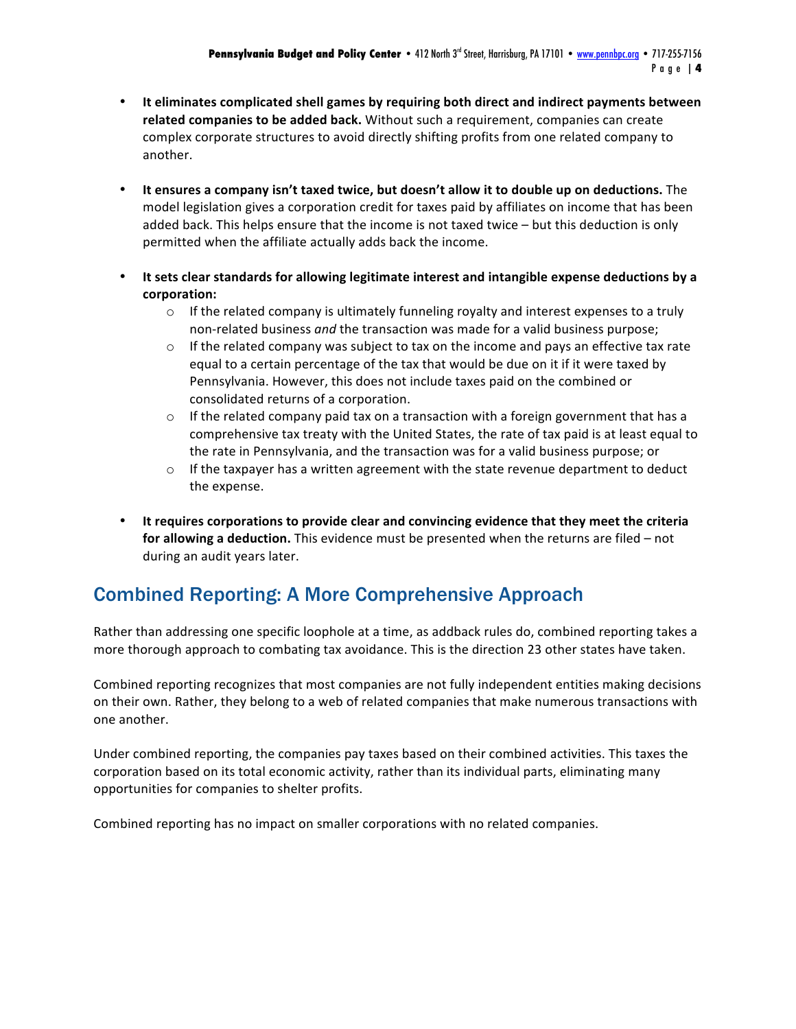- It eliminates complicated shell games by requiring both direct and indirect payments between related companies to be added back. Without such a requirement, companies can create complex corporate structures to avoid directly shifting profits from one related company to another.
- It ensures a company isn't taxed twice, but doesn't allow it to double up on deductions. The model legislation gives a corporation credit for taxes paid by affiliates on income that has been added back. This helps ensure that the income is not taxed twice  $-$  but this deduction is only permitted when the affiliate actually adds back the income.
- It sets clear standards for allowing legitimate interest and intangible expense deductions by a **corporation:** 
	- $\circ$  If the related company is ultimately funneling royalty and interest expenses to a truly non-related business and the transaction was made for a valid business purpose;
	- $\circ$  If the related company was subject to tax on the income and pays an effective tax rate equal to a certain percentage of the tax that would be due on it if it were taxed by Pennsylvania. However, this does not include taxes paid on the combined or consolidated returns of a corporation.
	- $\circ$  If the related company paid tax on a transaction with a foreign government that has a comprehensive tax treaty with the United States, the rate of tax paid is at least equal to the rate in Pennsylvania, and the transaction was for a valid business purpose; or
	- $\circ$  If the taxpayer has a written agreement with the state revenue department to deduct the expense.
- It requires corporations to provide clear and convincing evidence that they meet the criteria **for allowing a deduction.** This evidence must be presented when the returns are filed – not during an audit years later.

## Combined Reporting: A More Comprehensive Approach

Rather than addressing one specific loophole at a time, as addback rules do, combined reporting takes a more thorough approach to combating tax avoidance. This is the direction 23 other states have taken.

Combined reporting recognizes that most companies are not fully independent entities making decisions on their own. Rather, they belong to a web of related companies that make numerous transactions with one another.

Under combined reporting, the companies pay taxes based on their combined activities. This taxes the corporation based on its total economic activity, rather than its individual parts, eliminating many opportunities for companies to shelter profits.

Combined reporting has no impact on smaller corporations with no related companies.